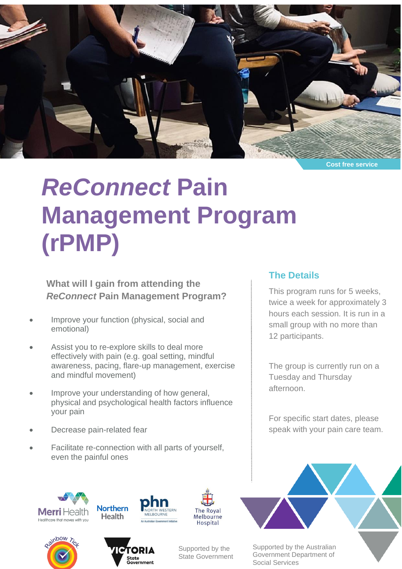

**Cost free service**

# *ReConnect* **Pain Management Program (rPMP)**

**What will I gain from attending the** *ReConnect* **Pain Management Program?**

- Improve your function (physical, social and emotional)
- Assist you to re-explore skills to deal more effectively with pain (e.g. goal setting, mindful awareness, pacing, flare-up management, exercise and mindful movement)
- Improve your understanding of how general, physical and psychological health factors influence your pain
- Decrease pain-related fear
- Facilitate re-connection with all parts of yourself, even the painful ones

### **The Details**

This program runs for 5 weeks, twice a week for approximately 3 hours each session. It is run in a small group with no more than 12 participants.

The group is currently run on a Tuesday and Thursday afternoon.

For specific start dates, please speak with your pain care team.











Supported by the State Government Supported by the Australian Government Department of Social Services